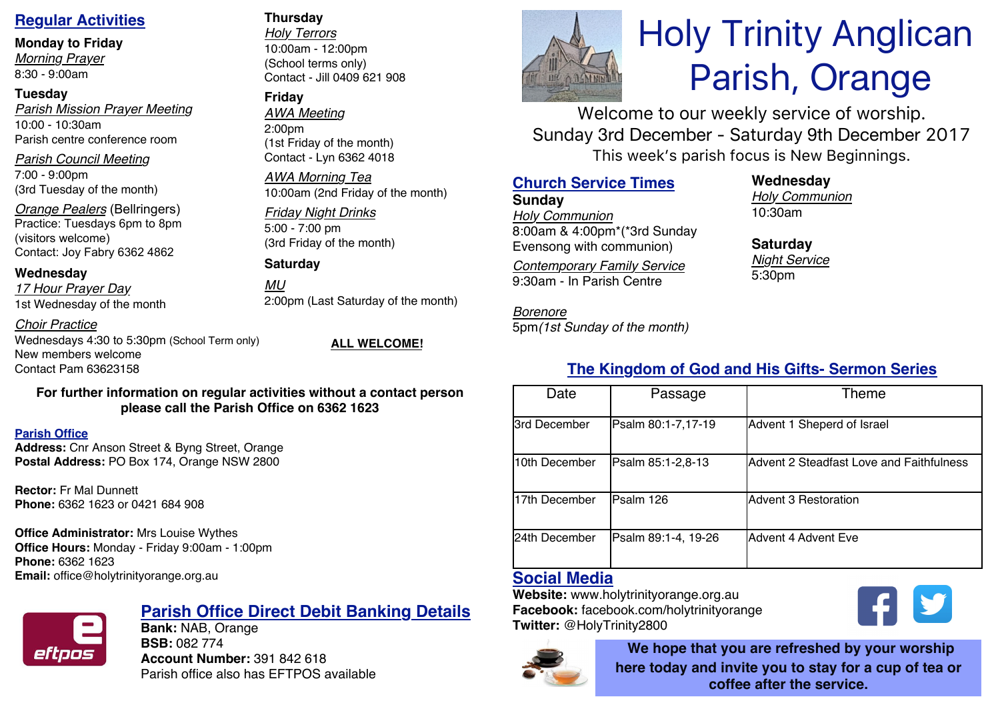### **Regular Activities**

**Monday to Friday**

*Morning Prayer* 8:30 - 9:00am

### **Tuesday**

*Parish Mission Prayer Meeting* 10:00 - 10:30am Parish centre conference room

*Parish Council Meeting* 7:00 - 9:00pm

(3rd Tuesday of the month)

*Orange Pealers* (Bellringers) Practice: Tuesdays 6pm to 8pm (visitors welcome) Contact: Joy Fabry 6362 4862

### **Wednesday**

*17 Hour Prayer Day* 1st Wednesday of the month

*Choir Practice*

Wednesdays 4:30 to 5:30pm (School Term only) New members welcome Contact Pam 63623158

**ALL WELCOME!**

### **For further information on regular activities without a contact person please call the Parish Office on 6362 1623**

### **Parish Office**

**Address:** Cnr Anson Street & Byng Street, Orange **Postal Address:** PO Box 174, Orange NSW 2800

**Rector:** Fr Mal Dunnett **Phone:** 6362 1623 or 0421 684 908

### **Office Administrator:** Mrs Louise Wythes

**Office Hours:** Monday - Friday 9:00am - 1:00pm **Phone:** 6362 1623 **Email:** office@holytrinityorange.org.au



### **Parish Office Direct Debit Banking Details**

**Bank:** NAB, Orange **BSB:** 082 774 **Account Number:** 391 842 618 Parish office also has EFTPOS available

### **Thursday**

*Holy Terrors* 10:00am - 12:00pm (School terms only) Contact - Jill 0409 621 908

### **Friday**

*AWA Meeting* 2:00pm (1st Friday of the month) Contact - Lyn 6362 4018

*AWA Morning Tea* 10:00am (2nd Friday of the month)

### *Friday Night Drinks* 5:00 - 7:00 pm (3rd Friday of the month)

**Saturday**

*MU* 2:00pm (Last Saturday of the month)

## **The Kingdom of God and His Gifts- Sermon Series**

| Date          | Passage             | Theme                                    |  |
|---------------|---------------------|------------------------------------------|--|
| 3rd December  | Psalm 80:1-7,17-19  | Advent 1 Sheperd of Israel               |  |
| 10th December | Psalm 85:1-2,8-13   | Advent 2 Steadfast Love and Faithfulness |  |
| 17th December | Psalm 126           | Advent 3 Restoration                     |  |
| 24th December | Psalm 89:1-4, 19-26 | Advent 4 Advent Eve                      |  |

### **Social Media**

**Website:** www.holytrinityorange.org.au **Facebook:** facebook.com/holytrinityorange **Twitter:** @HolyTrinity2800



**We hope that you are refreshed by your worship here today and invite you to stay for a cup of tea or coffee after the service.**

V

# Holy Trinity Anglican Parish, Orange

Welcome to our weekly service of worship. Sunday 3rd December - Saturday 9th December 2017 This week's parish focus is New Beginnings.

### **Church Service Times**

**Sunday** *Holy Communion* 8:00am & 4:00pm\*(\*3rd Sunday Evensong with communion)

*Contemporary Family Service* 9:30am - In Parish Centre

5pm*(1st Sunday of the month)*

*Borenore* 

**Wednesday**

*Holy Communion* 10:30am

**Saturday** *Night Service* 5:30pm